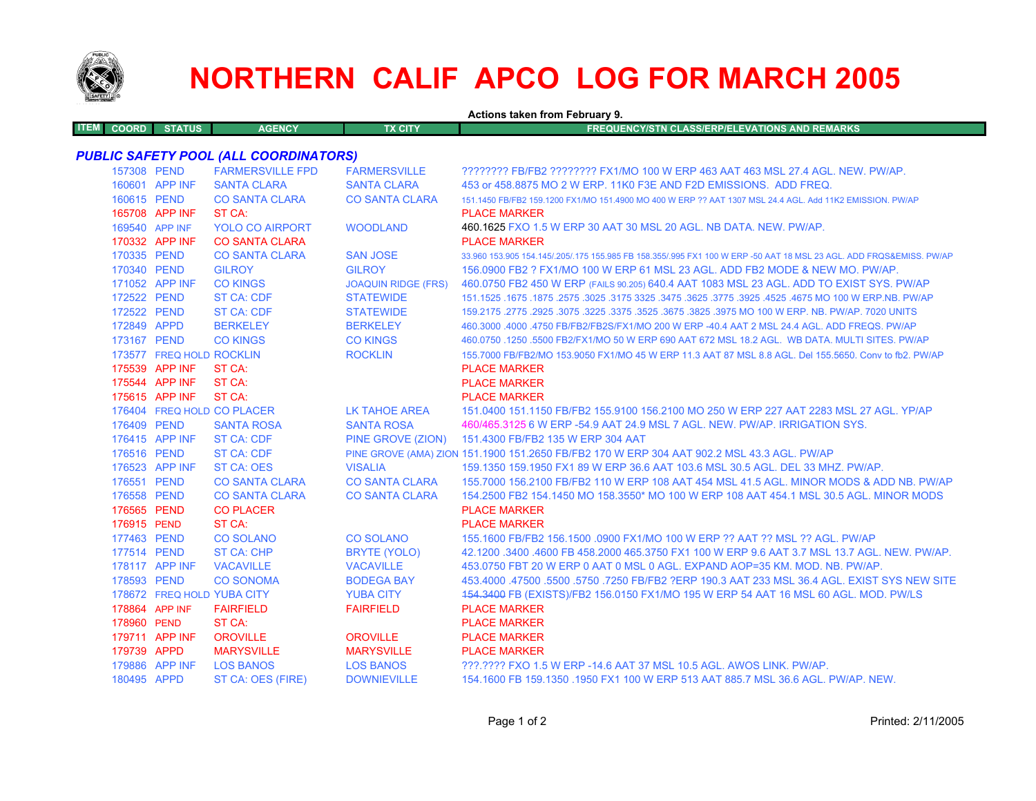

## **NORTHERN CALIF APCO LOG FOR MARCH 2005**

| <b>Actions taken from February 9.</b> |                            |                                              |                            |                                                                                                                     |  |
|---------------------------------------|----------------------------|----------------------------------------------|----------------------------|---------------------------------------------------------------------------------------------------------------------|--|
| <b>COORD</b><br><b>ITEM</b>           | <b>STATUS</b>              | <b>AGENCY</b>                                | <b>TX CITY</b>             | <b>FREQUENCY/STN CLASS/ERP/ELEVATIONS AND REMARKS</b>                                                               |  |
|                                       |                            | <b>PUBLIC SAFETY POOL (ALL COORDINATORS)</b> |                            |                                                                                                                     |  |
|                                       | 157308 PEND                | <b>FARMERSVILLE FPD</b>                      | <b>FARMERSVILLE</b>        | ???????? FB/FB2 ???????? FX1/MO 100 W ERP 463 AAT 463 MSL 27.4 AGL. NEW. PW/AP.                                     |  |
|                                       | 160601 APP INF             | <b>SANTA CLARA</b>                           | <b>SANTA CLARA</b>         | 453 or 458,8875 MO 2 W ERP, 11K0 F3E AND F2D EMISSIONS. ADD FREQ.                                                   |  |
|                                       | 160615 PEND                | <b>CO SANTA CLARA</b>                        | <b>CO SANTA CLARA</b>      | 151.1450 FB/FB2 159.1200 FX1/MO 151.4900 MO 400 W ERP ?? AAT 1307 MSL 24.4 AGL. Add 11K2 EMISSION. PW/AP            |  |
|                                       | 165708 APP INF             | ST CA:                                       |                            | <b>PLACE MARKER</b>                                                                                                 |  |
|                                       | 169540 APP INF             | <b>YOLO CO AIRPORT</b>                       | <b>WOODLAND</b>            | 460.1625 FXO 1.5 W ERP 30 AAT 30 MSL 20 AGL. NB DATA. NEW. PW/AP.                                                   |  |
|                                       | 170332 APP INF             | <b>CO SANTA CLARA</b>                        |                            | <b>PLACE MARKER</b>                                                                                                 |  |
|                                       | 170335 PEND                | <b>CO SANTA CLARA</b>                        | <b>SAN JOSE</b>            | 33,960 153,905 154,145/.205/.175 155,985 FB 158,355/.995 FX1 100 W ERP -50 AAT 18 MSL 23 AGL, ADD FRQS&EMISS, PW/AP |  |
| 170340 PEND                           |                            | <b>GILROY</b>                                | <b>GILROY</b>              | 156,0900 FB2 ? FX1/MO 100 W ERP 61 MSL 23 AGL. ADD FB2 MODE & NEW MO, PW/AP.                                        |  |
|                                       | 171052 APP INF             | <b>CO KINGS</b>                              | <b>JOAQUIN RIDGE (FRS)</b> | 460.0750 FB2 450 W ERP (FAILS 90.205) 640.4 AAT 1083 MSL 23 AGL. ADD TO EXIST SYS. PW/AP                            |  |
|                                       | 172522 PEND                | ST CA: CDF                                   | <b>STATEWIDE</b>           | 151.1525 .1675 .1875 .2575 .3025 .3175 3325 .3475 .3625 .3775 .3925 .4525 .4675 MO 100 W ERP.NB. PW/AP              |  |
|                                       | 172522 PEND                | <b>ST CA: CDF</b>                            | <b>STATEWIDE</b>           | 159.2175 .2775 .2925 .3075 .3225 .3375 .3525 .3675 .3825 .3975 MO 100 W ERP. NB. PW/AP. 7020 UNITS                  |  |
| 172849 APPD                           |                            | <b>BERKELEY</b>                              | <b>BERKELEY</b>            | 460.3000 .4000 .4750 FB/FB2/FB2S/FX1/MO 200 W ERP -40.4 AAT 2 MSL 24.4 AGL. ADD FREQS. PW/AP                        |  |
|                                       | 173167 PEND                | <b>CO KINGS</b>                              | <b>CO KINGS</b>            | 460.0750 .1250 .5500 FB2/FX1/MO 50 W ERP 690 AAT 672 MSL 18.2 AGL. WB DATA. MULTI SITES. PW/AP                      |  |
|                                       | 173577 FREQ HOLD ROCKLIN   |                                              | <b>ROCKLIN</b>             | 155,7000 FB/FB2/MO 153,9050 FX1/MO 45 W ERP 11.3 AAT 87 MSL 8.8 AGL, Del 155,5650, Conv to fb2, PW/AP               |  |
|                                       | 175539 APP INF             | ST CA:                                       |                            | <b>PLACE MARKER</b>                                                                                                 |  |
|                                       | 175544 APP INF             | ST CA:                                       |                            | <b>PLACE MARKER</b>                                                                                                 |  |
|                                       | 175615 APP INF             | ST CA:                                       |                            | <b>PLACE MARKER</b>                                                                                                 |  |
|                                       |                            | 176404 FREQ HOLD CO PLACER                   | LK TAHOE AREA              | 151.0400 151.1150 FB/FB2 155.9100 156.2100 MO 250 W ERP 227 AAT 2283 MSL 27 AGL, YP/AP                              |  |
| 176409 PEND                           |                            | <b>SANTA ROSA</b>                            | <b>SANTA ROSA</b>          | 460/465.3125 6 W ERP -54.9 AAT 24.9 MSL 7 AGL. NEW. PW/AP. IRRIGATION SYS.                                          |  |
|                                       | 176415 APP INF             | <b>ST CA: CDF</b>                            | PINE GROVE (ZION)          | 151.4300 FB/FB2 135 W ERP 304 AAT                                                                                   |  |
|                                       | 176516 PEND                | <b>ST CA: CDF</b>                            |                            | PINE GROVE (AMA) ZION 151.1900 151.2650 FB/FB2 170 W ERP 304 AAT 902.2 MSL 43.3 AGL. PW/AP                          |  |
|                                       | 176523 APP INF             | <b>ST CA: OES</b>                            | <b>VISALIA</b>             | 159.1350 159.1950 FX1 89 W ERP 36.6 AAT 103.6 MSL 30.5 AGL, DEL 33 MHZ, PW/AP,                                      |  |
|                                       | 176551 PEND                | <b>CO SANTA CLARA</b>                        | <b>CO SANTA CLARA</b>      | 155,7000 156,2100 FB/FB2 110 W ERP 108 AAT 454 MSL 41.5 AGL, MINOR MODS & ADD NB, PW/AP                             |  |
|                                       | 176558 PEND                | <b>CO SANTA CLARA</b>                        | <b>CO SANTA CLARA</b>      | 154.2500 FB2 154.1450 MO 158.3550* MO 100 W ERP 108 AAT 454.1 MSL 30.5 AGL. MINOR MODS                              |  |
| 176565 PEND                           |                            | <b>CO PLACER</b>                             |                            | <b>PLACE MARKER</b>                                                                                                 |  |
| 176915 PEND                           |                            | ST CA:                                       |                            | <b>PLACE MARKER</b>                                                                                                 |  |
| 177463 PEND                           |                            | <b>CO SOLANO</b>                             | <b>CO SOLANO</b>           | 155.1600 FB/FB2 156.1500 .0900 FX1/MO 100 W ERP ?? AAT ?? MSL ?? AGL, PW/AP                                         |  |
|                                       | 177514 PEND                | <b>ST CA: CHP</b>                            | <b>BRYTE (YOLO)</b>        | 42.1200 .3400 .4600 FB 458.2000 465.3750 FX1 100 W ERP 9.6 AAT 3.7 MSL 13.7 AGL. NEW. PW/AP.                        |  |
|                                       | 178117 APP INF             | <b>VACAVILLE</b>                             | <b>VACAVILLE</b>           | 453.0750 FBT 20 W ERP 0 AAT 0 MSL 0 AGL. EXPAND AOP=35 KM, MOD, NB, PW/AP,                                          |  |
|                                       | 178593 PEND                | <b>CO SONOMA</b>                             | <b>BODEGA BAY</b>          | 453,4000 .47500 .5500 .5750 .7250 FB/FB2 ?ERP 190.3 AAT 233 MSL 36.4 AGL. EXIST SYS NEW SITE                        |  |
|                                       | 178672 FREQ HOLD YUBA CITY |                                              | <b>YUBA CITY</b>           | 454.3400 FB (EXISTS)/FB2 156.0150 FX1/MO 195 W ERP 54 AAT 16 MSL 60 AGL. MOD. PW/LS                                 |  |
|                                       | 178864 APP INF             | <b>FAIRFIELD</b>                             | <b>FAIRFIELD</b>           | <b>PLACE MARKER</b>                                                                                                 |  |
| 178960 PEND                           |                            | ST CA:                                       |                            | <b>PLACE MARKER</b>                                                                                                 |  |
|                                       | 179711 APP INF             | <b>OROVILLE</b>                              | <b>OROVILLE</b>            | <b>PLACE MARKER</b>                                                                                                 |  |
| 179739 APPD                           |                            | <b>MARYSVILLE</b>                            | <b>MARYSVILLE</b>          | <b>PLACE MARKER</b>                                                                                                 |  |
|                                       | 179886 APP INF             | <b>LOS BANOS</b>                             | <b>LOS BANOS</b>           | ???.???? FXO 1.5 W ERP -14.6 AAT 37 MSL 10.5 AGL. AWOS LINK. PW/AP.                                                 |  |
|                                       | 180495 APPD                | ST CA: OES (FIRE)                            | <b>DOWNIEVILLE</b>         | 154.1600 FB 159.1350 .1950 FX1 100 W ERP 513 AAT 885.7 MSL 36.6 AGL. PW/AP. NEW.                                    |  |